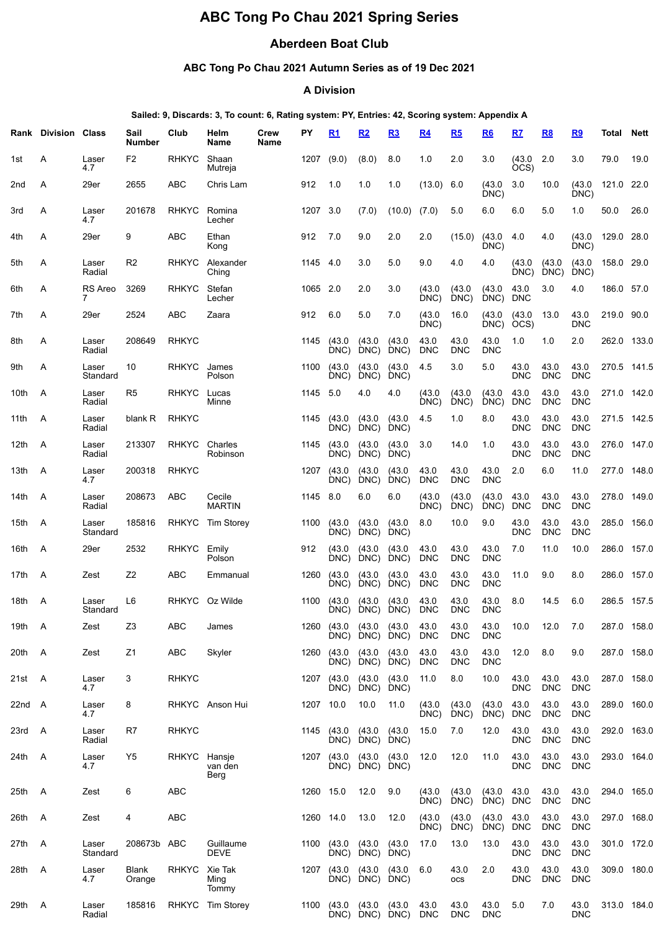# **ABC Tong Po Chau 2021 Spring Series**

# **Aberdeen Boat Club**

## **ABC Tong Po Chau 2021 Autumn Series as of 19 Dec 2021**

#### **A Division**

#### **Sailed: 9, Discards: 3, To count: 6, Rating system: PY, Entries: 42, Scoring system: Appendix A**

|        | <b>Rank Division Class</b> |                     | Sail<br><b>Number</b> | Club         | Helm<br>Name              | Crew<br>Name | PΥ        | R1             | <u>R2</u>           | <u>R3</u>      | <u>R4</u>          | R5                 | R6                 | R7                 | R8                 | R <sub>9</sub>     | Total       | <b>Nett</b> |
|--------|----------------------------|---------------------|-----------------------|--------------|---------------------------|--------------|-----------|----------------|---------------------|----------------|--------------------|--------------------|--------------------|--------------------|--------------------|--------------------|-------------|-------------|
| 1st    | Α                          | Laser<br>4.7        | F <sub>2</sub>        | <b>RHKYC</b> | Shaan<br>Mutreja          |              | 1207      | (9.0)          | (8.0)               | 8.0            | 1.0                | 2.0                | 3.0                | (43.0)<br>OCS)     | 2.0                | 3.0                | 79.0        | 19.0        |
| 2nd    | Α                          | 29er                | 2655                  | <b>ABC</b>   | Chris Lam                 |              | 912       | 1.0            | 1.0                 | 1.0            | (13.0)             | 6.0                | (43.0)<br>DNC)     | 3.0                | 10.0               | (43.0)<br>DNC)     | 121.0 22.0  |             |
| 3rd    | Α                          | Laser<br>4.7        | 201678                | <b>RHKYC</b> | Romina<br>Lecher          |              | 1207      | 3.0            | (7.0)               | (10.0)         | (7.0)              | 5.0                | 6.0                | 6.0                | 5.0                | 1.0                | 50.0        | 26.0        |
| 4th    | Α                          | 29er                | 9                     | <b>ABC</b>   | Ethan<br>Kong             |              | 912       | 7.0            | 9.0                 | 2.0            | 2.0                | (15.0)             | (43.0)<br>DNC)     | 4.0                | 4.0                | (43.0)<br>DNC)     | 129.0 28.0  |             |
| 5th    | Α                          | Laser<br>Radial     | R <sub>2</sub>        | <b>RHKYC</b> | Alexander<br>Ching        |              | 1145      | 4.0            | 3.0                 | 5.0            | 9.0                | 4.0                | 4.0                | (43.0)<br>DNC)     | (43.0)<br>DNC)     | (43.0)<br>DNC)     | 158.0 29.0  |             |
| 6th    | Α                          | <b>RS</b> Areo<br>7 | 3269                  | <b>RHKYC</b> | Stefan<br>Lecher          |              | 1065      | 2.0            | 2.0                 | 3.0            | (43.0)<br>DNC)     | (43.0)<br>DNC)     | (43.0)<br>DNC)     | 43.0<br><b>DNC</b> | 3.0                | 4.0                | 186.0       | 57.0        |
| 7th    | A                          | 29er                | 2524                  | <b>ABC</b>   | Zaara                     |              | 912       | 6.0            | 5.0                 | 7.0            | (43.0)<br>DNC)     | 16.0               | (43.0)<br>DNC)     | (43.0)<br>OCS)     | 13.0               | 43.0<br><b>DNC</b> | 219.0 90.0  |             |
| 8th    | Α                          | Laser<br>Radial     | 208649                | <b>RHKYC</b> |                           |              | 1145      | (43.0)<br>DNC) | (43.0)<br>DNC)      | (43.0)<br>DNC) | 43.0<br><b>DNC</b> | 43.0<br><b>DNC</b> | 43.0<br><b>DNC</b> | 1.0                | 1.0                | 2.0                | 262.0       | 133.0       |
| 9th    | Α                          | Laser<br>Standard   | 10                    | <b>RHKYC</b> | James<br>Polson           |              | 1100      | (43.0)<br>DNC) | (43.0)<br>DNC)      | (43.0)<br>DNC) | 4.5                | 3.0                | 5.0                | 43.0<br><b>DNC</b> | 43.0<br><b>DNC</b> | 43.0<br><b>DNC</b> | 270.5       | 141.5       |
| 10th   | A                          | Laser<br>Radial     | R <sub>5</sub>        | <b>RHKYC</b> | Lucas<br>Minne            |              | 1145      | 5.0            | 4.0                 | 4.0            | (43.0)<br>DNC)     | (43.0)<br>DNC)     | (43.0)<br>DNC)     | 43.0<br><b>DNC</b> | 43.0<br><b>DNC</b> | 43.0<br><b>DNC</b> | 271.0       | 142.0       |
| 11th   | A                          | Laser<br>Radial     | blank R               | <b>RHKYC</b> |                           |              | 1145      | (43.0)<br>DNC) | (43.0)<br>DNC)      | (43.0)<br>DNC) | 4.5                | 1.0                | 8.0                | 43.0<br><b>DNC</b> | 43.0<br>DNC        | 43.0<br><b>DNC</b> | 271.5 142.5 |             |
| 12th   | A                          | Laser<br>Radial     | 213307                | <b>RHKYC</b> | Charles<br>Robinson       |              | 1145      | (43.0)<br>DNC) | (43.0)<br>DNC)      | (43.0)<br>DNC) | 3.0                | 14.0               | 1.0                | 43.0<br><b>DNC</b> | 43.0<br><b>DNC</b> | 43.0<br><b>DNC</b> | 276.0 147.0 |             |
| 13th   | A                          | Laser<br>4.7        | 200318                | <b>RHKYC</b> |                           |              | 1207      | (43.0)<br>DNC) | (43.0)<br>DNC)      | (43.0)<br>DNC) | 43.0<br><b>DNC</b> | 43.0<br><b>DNC</b> | 43.0<br><b>DNC</b> | 2.0                | 6.0                | 11.0               | 277.0       | 148.0       |
| 14th   | A                          | Laser<br>Radial     | 208673                | <b>ABC</b>   | Cecile<br><b>MARTIN</b>   |              | 1145      | 8.0            | 6.0                 | 6.0            | (43.0<br>DNC)      | (43.0)<br>DNC)     | (43.0)<br>DNC)     | 43.0<br><b>DNC</b> | 43.0<br>DNC        | 43.0<br><b>DNC</b> | 278.0 149.0 |             |
| 15th   | A                          | Laser<br>Standard   | 185816                | <b>RHKYC</b> | <b>Tim Storey</b>         |              | 1100      | (43.0)<br>DNC) | (43.0)<br>DNC)      | (43.0)<br>DNC) | 8.0                | 10.0               | 9.0                | 43.0<br><b>DNC</b> | 43.0<br><b>DNC</b> | 43.0<br><b>DNC</b> | 285.0       | 156.0       |
| 16th   | A                          | 29er                | 2532                  | <b>RHKYC</b> | Emily<br>Polson           |              | 912       | (43.0)<br>DNC) | (43.0)<br>DNC)      | (43.0)<br>DNC) | 43.0<br><b>DNC</b> | 43.0<br><b>DNC</b> | 43.0<br><b>DNC</b> | 7.0                | 11.0               | 10.0               | 286.0       | 157.0       |
| 17th   | A                          | Zest                | Z2                    | <b>ABC</b>   | Emmanual                  |              | 1260      | (43.0)<br>DNC) | (43.0)<br>DNC)      | (43.0)<br>DNC) | 43.0<br><b>DNC</b> | 43.0<br><b>DNC</b> | 43.0<br><b>DNC</b> | 11.0               | 9.0                | 8.0                | 286.0       | 157.0       |
| 18th   | A                          | Laser<br>Standard   | L6                    | <b>RHKYC</b> | Oz Wilde                  |              | 1100      | (43.0)<br>DNC) | (43.0)<br>DNC)      | (43.0)<br>DNC) | 43.0<br><b>DNC</b> | 43.0<br><b>DNC</b> | 43.0<br><b>DNC</b> | 8.0                | 14.5               | 6.0                | 286.5       | 157.5       |
| 19th   | - A                        | Zest                | Z <sub>3</sub>        | <b>ABC</b>   | James                     |              | 1260      | (43.0)<br>DNC) | (43.0<br>DNC)       | (43.0<br>DNC)  | 43.0<br><b>DNC</b> | 43.0<br><b>DNC</b> | 43.0<br><b>DNC</b> | 10.0               | 12.0               | 7.0                |             | 287.0 158.0 |
| 20th A |                            | Zest                | Z1                    | ABC          | Skyler                    |              | 1260      | (43.0)<br>DNC) | (43.0)<br>DNC)      | (43.0)<br>DNC) | 43.0<br><b>DNC</b> | 43.0<br><b>DNC</b> | 43.0<br><b>DNC</b> | 12.0               | 8.0                | 9.0                | 287.0 158.0 |             |
| 21st A |                            | Laser<br>4.7        | 3                     | <b>RHKYC</b> |                           |              | 1207      | (43.0<br>DNC)  | (43.0<br>DNC)       | (43.0<br>DNC)  | 11.0               | 8.0                | 10.0               | 43.0<br><b>DNC</b> | 43.0<br><b>DNC</b> | 43.0<br><b>DNC</b> | 287.0 158.0 |             |
| 22nd A |                            | Laser<br>4.7        | 8                     |              | RHKYC Anson Hui           |              | 1207 10.0 |                | 10.0                | 11.0           | (43.0)<br>DNC)     | (43.0)<br>DNC)     | (43.0)<br>DNC)     | 43.0<br><b>DNC</b> | 43.0<br><b>DNC</b> | 43.0<br><b>DNC</b> | 289.0 160.0 |             |
| 23rd   | - A                        | Laser<br>Radial     | R7                    | <b>RHKYC</b> |                           |              | 1145      | (43.0)         | (43.0)<br>DNC) DNC) | (43.0)<br>DNC) | 15.0               | 7.0                | 12.0               | 43.0<br><b>DNC</b> | 43.0<br><b>DNC</b> | 43.0<br><b>DNC</b> | 292.0 163.0 |             |
| 24th   | A                          | Laser<br>4.7        | Y5                    | <b>RHKYC</b> | Hansje<br>van den<br>Berg |              |           | 1207 (43.0     | (43.0<br>DNC) DNC)  | (43.0<br>DNC)  | 12.0               | 12.0               | 11.0               | 43.0<br><b>DNC</b> | 43.0<br><b>DNC</b> | 43.0<br><b>DNC</b> | 293.0 164.0 |             |
| 25th A |                            | Zest                | 6                     | <b>ABC</b>   |                           |              | 1260 15.0 |                | 12.0                | 9.0            | (43.0)<br>DNC)     | (43.0)<br>DNC)     | (43.0)<br>DNC)     | 43.0<br><b>DNC</b> | 43.0<br><b>DNC</b> | 43.0<br><b>DNC</b> | 294.0 165.0 |             |
| 26th A |                            | Zest                | 4                     | ABC          |                           |              | 1260 14.0 |                | 13.0                | 12.0           | (43.0)<br>DNC)     | (43.0)<br>DNC)     | (43.0)<br>DNC)     | 43.0<br><b>DNC</b> | 43.0<br><b>DNC</b> | 43.0<br><b>DNC</b> | 297.0 168.0 |             |
| 27th A |                            | Laser<br>Standard   | 208673b ABC           |              | Guillaume<br>DEVE         |              | 1100      | (43.0)<br>DNC) | (43.0)<br>DNC)      | (43.0)<br>DNC) | 17.0               | 13.0               | 13.0               | 43.0<br><b>DNC</b> | 43.0<br><b>DNC</b> | 43.0<br><b>DNC</b> | 301.0 172.0 |             |
| 28th   | A                          | Laser<br>4.7        | Blank<br>Orange       | <b>RHKYC</b> | Xie Tak<br>Ming<br>Tommy  |              |           | 1207 (43.0     | (43.0)<br>DNC) DNC) | (43.0<br>DNC)  | 6.0                | 43.0<br><b>OCS</b> | 2.0                | 43.0<br><b>DNC</b> | 43.0<br><b>DNC</b> | 43.0<br><b>DNC</b> |             | 309.0 180.0 |
| 29th A |                            | Laser<br>Radial     | 185816                |              | RHKYC Tim Storey          |              | 1100      | (43.0          | (43.0<br>DNC) DNC)  | (43.0<br>DNC)  | 43.0<br><b>DNC</b> | 43.0<br><b>DNC</b> | 43.0<br><b>DNC</b> | 5.0                | 7.0                | 43.0<br><b>DNC</b> | 313.0 184.0 |             |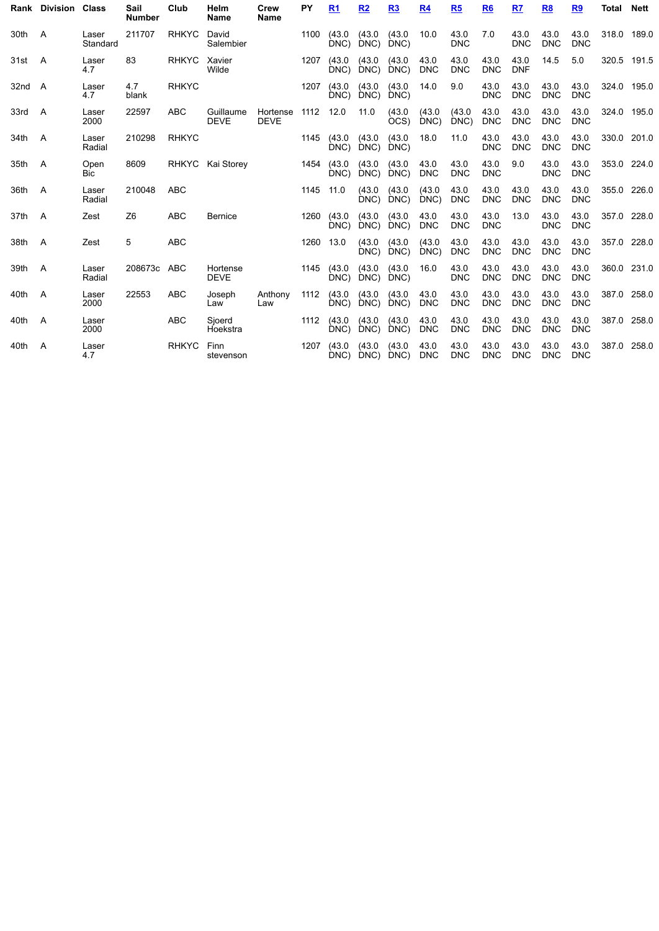|        | Rank Division Class |                    | Sail<br><b>Number</b> | Club         | Helm<br>Name             | Crew<br><b>Name</b>     | PY        | R <sub>1</sub> | R <sub>2</sub> | R3             | <u>R4</u>          | R5                 | R <sub>6</sub>     | R7                 | R8                 | <u>R9</u>          | Total       | Nett |
|--------|---------------------|--------------------|-----------------------|--------------|--------------------------|-------------------------|-----------|----------------|----------------|----------------|--------------------|--------------------|--------------------|--------------------|--------------------|--------------------|-------------|------|
| 30th   | A                   | Laser<br>Standard  | 211707                | <b>RHKYC</b> | David<br>Salembier       |                         | 1100      | (43.0)<br>DNC) | (43.0)<br>DNC) | (43.0)<br>DNC) | 10.0               | 43.0<br><b>DNC</b> | 7.0                | 43.0<br><b>DNC</b> | 43.0<br><b>DNC</b> | 43.0<br><b>DNC</b> | 318.0 189.0 |      |
| 31st A |                     | Laser<br>4.7       | 83                    | <b>RHKYC</b> | Xavier<br>Wilde          |                         | 1207      | (43.0)<br>DNC) | (43.0)<br>DNC) | (43.0)<br>DNC) | 43.0<br><b>DNC</b> | 43.0<br><b>DNC</b> | 43.0<br><b>DNC</b> | 43.0<br><b>DNF</b> | 14.5               | 5.0                | 320.5 191.5 |      |
| 32nd A |                     | Laser<br>4.7       | 4.7<br>blank          | <b>RHKYC</b> |                          |                         | 1207      | (43.0)<br>DNC) | (43.0)<br>DNC) | (43.0)<br>DNC) | 14.0               | 9.0                | 43.0<br><b>DNC</b> | 43.0<br><b>DNC</b> | 43.0<br><b>DNC</b> | 43.0<br><b>DNC</b> | 324.0 195.0 |      |
| 33rd   | - A                 | Laser<br>2000      | 22597                 | <b>ABC</b>   | Guillaume<br><b>DEVE</b> | Hortense<br><b>DEVE</b> | 1112      | 12.0           | 11.0           | (43.0)<br>ÒCS) | (43.0)<br>DNC)     | (43.0)<br>DNC)     | 43.0<br><b>DNC</b> | 43.0<br><b>DNC</b> | 43.0<br><b>DNC</b> | 43.0<br><b>DNC</b> | 324.0 195.0 |      |
| 34th   | A                   | Laser<br>Radial    | 210298                | <b>RHKYC</b> |                          |                         | 1145      | (43.0)<br>DNC  | (43.0)<br>DNC) | (43.0)<br>DNC) | 18.0               | 11.0               | 43.0<br><b>DNC</b> | 43.0<br><b>DNC</b> | 43.0<br><b>DNC</b> | 43.0<br><b>DNC</b> | 330.0 201.0 |      |
| 35th A |                     | Open<br><b>Bic</b> | 8609                  |              | RHKYC Kai Storey         |                         | 1454      | (43.0)<br>DNC) | (43.0)<br>DNC) | (43.0)<br>DNC) | 43.0<br><b>DNC</b> | 43.0<br><b>DNC</b> | 43.0<br><b>DNC</b> | 9.0                | 43.0<br><b>DNC</b> | 43.0<br><b>DNC</b> | 353.0 224.0 |      |
| 36th   | - A                 | Laser<br>Radial    | 210048                | <b>ABC</b>   |                          |                         | 1145      | 11.0           | (43.0)<br>DNC) | (43.0)<br>DNC) | (43.0)<br>DNC)     | 43.0<br><b>DNC</b> | 43.0<br><b>DNC</b> | 43.0<br><b>DNC</b> | 43.0<br><b>DNC</b> | 43.0<br><b>DNC</b> | 355.0 226.0 |      |
| 37th A |                     | Zest               | Z <sub>6</sub>        | <b>ABC</b>   | <b>Bernice</b>           |                         | 1260      | (43.0)<br>DNC) | (43.0)<br>DNC) | (43.0)<br>DNC) | 43.0<br><b>DNC</b> | 43.0<br><b>DNC</b> | 43.0<br><b>DNC</b> | 13.0               | 43.0<br><b>DNC</b> | 43.0<br><b>DNC</b> | 357.0 228.0 |      |
| 38th   | - A                 | Zest               | 5                     | <b>ABC</b>   |                          |                         | 1260 13.0 |                | (43.0)<br>DNC) | (43.0)<br>DNC) | (43.0)<br>DNC)     | 43.0<br><b>DNC</b> | 43.0<br><b>DNC</b> | 43.0<br><b>DNC</b> | 43.0<br><b>DNC</b> | 43.0<br><b>DNC</b> | 357.0 228.0 |      |
| 39th   | <b>A</b>            | Laser<br>Radial    | 208673c ABC           |              | Hortense<br><b>DEVE</b>  |                         | 1145      | (43.0)<br>DNC) | (43.0)<br>DNC) | (43.0)<br>DNC) | 16.0               | 43.0<br><b>DNC</b> | 43.0<br><b>DNC</b> | 43.0<br><b>DNC</b> | 43.0<br><b>DNC</b> | 43.0<br><b>DNC</b> | 360.0 231.0 |      |
| 40th   | A                   | Laser<br>2000      | 22553                 | <b>ABC</b>   | Joseph<br>Law            | Anthony<br>Law          | 1112      | (43.0)<br>DNC) | (43.0)<br>DNC) | (43.0)<br>DNC) | 43.0<br><b>DNC</b> | 43.0<br><b>DNC</b> | 43.0<br><b>DNC</b> | 43.0<br><b>DNC</b> | 43.0<br><b>DNC</b> | 43.0<br><b>DNC</b> | 387.0 258.0 |      |
| 40th   | A                   | Laser<br>2000      |                       | <b>ABC</b>   | Sjoerd<br>Hoekstra       |                         | 1112      | (43.0)<br>DNC) | (43.0)<br>DNC) | (43.0)<br>DNC) | 43.0<br><b>DNC</b> | 43.0<br><b>DNC</b> | 43.0<br><b>DNC</b> | 43.0<br><b>DNC</b> | 43.0<br><b>DNC</b> | 43.0<br><b>DNC</b> | 387.0 258.0 |      |
| 40th   | A                   | Laser<br>4.7       |                       | <b>RHKYC</b> | Finn<br>stevenson        |                         | 1207      | (43.0)<br>DNC) | (43.0)<br>DNC) | (43.0)<br>DNC) | 43.0<br><b>DNC</b> | 43.0<br><b>DNC</b> | 43.0<br><b>DNC</b> | 43.0<br><b>DNC</b> | 43.0<br><b>DNC</b> | 43.0<br><b>DNC</b> | 387.0 258.0 |      |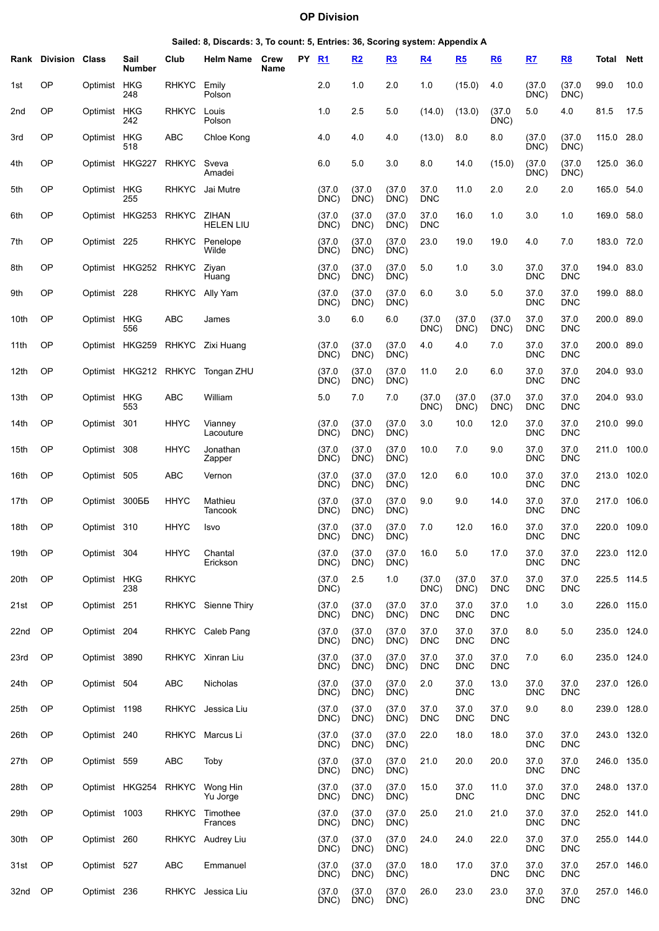### **OP Division**

| Sailed: 8, Discards: 3, To count: 5, Entries: 36, Scoring system: Appendix A |  |  |  |  |
|------------------------------------------------------------------------------|--|--|--|--|
|------------------------------------------------------------------------------|--|--|--|--|

|      | <b>Rank Division Class</b> |                | Sail<br>Number    | Club         | <b>Helm Name</b>          | Crew<br>Name | PY. | R <sub>1</sub> | R2             | R3             | R4                 | R5                 | R6                 | R7                 | R8                 | Total       | Nett        |
|------|----------------------------|----------------|-------------------|--------------|---------------------------|--------------|-----|----------------|----------------|----------------|--------------------|--------------------|--------------------|--------------------|--------------------|-------------|-------------|
| 1st  | <b>OP</b>                  | Optimist       | HKG<br>248        | <b>RHKYC</b> | Emily<br>Polson           |              |     | 2.0            | 1.0            | 2.0            | 1.0                | (15.0)             | 4.0                | (37.0)<br>DNC)     | (37.0)<br>DNC)     | 99.0        | 10.0        |
| 2nd  | OP                         | Optimist       | <b>HKG</b><br>242 | <b>RHKYC</b> | Louis<br>Polson           |              |     | 1.0            | 2.5            | 5.0            | (14.0)             | (13.0)             | (37.0)<br>DNC)     | 5.0                | 4.0                | 81.5        | 17.5        |
| 3rd  | OP                         | Optimist HKG   | 518               | ABC          | Chloe Kong                |              |     | 4.0            | 4.0            | 4.0            | (13.0)             | 8.0                | 8.0                | (37.0)<br>DNC)     | (37.0)<br>DNC)     | 115.0       | 28.0        |
| 4th  | OP                         |                | Optimist HKG227   | <b>RHKYC</b> | Sveva<br>Amadei           |              |     | 6.0            | 5.0            | 3.0            | 8.0                | 14.0               | (15.0)             | (37.0)<br>DNC)     | (37.0)<br>DNC)     | 125.0       | 36.0        |
| 5th  | OP                         | Optimist HKG   | 255               | <b>RHKYC</b> | Jai Mutre                 |              |     | (37.0)<br>DNC) | (37.0)<br>DNC) | (37.0)<br>DNC) | 37.0<br><b>DNC</b> | 11.0               | 2.0                | 2.0                | 2.0                | 165.0 54.0  |             |
| 6th  | OP                         |                | Optimist HKG253   | <b>RHKYC</b> | ZIHAN<br><b>HELEN LIU</b> |              |     | (37.0)<br>DNC) | (37.0)<br>DNC) | (37.0)<br>DNC) | 37.0<br><b>DNC</b> | 16.0               | 1.0                | 3.0                | 1.0                | 169.0 58.0  |             |
| 7th  | OP                         | Optimist 225   |                   | <b>RHKYC</b> | Penelope<br>Wilde         |              |     | (37.0)<br>DNC) | (37.0)<br>DNC) | (37.0)<br>DNC) | 23.0               | 19.0               | 19.0               | 4.0                | 7.0                | 183.0 72.0  |             |
| 8th  | OP                         |                | Optimist HKG252   | <b>RHKYC</b> | Ziyan<br>Huang            |              |     | (37.0)<br>DNC) | (37.0)<br>DNC) | (37.0)<br>DNC) | 5.0                | 1.0                | 3.0                | 37.0<br><b>DNC</b> | 37.0<br><b>DNC</b> | 194.0       | 83.0        |
| 9th  | OP                         | Optimist 228   |                   | <b>RHKYC</b> | Ally Yam                  |              |     | (37.0)<br>DNC) | (37.0)<br>DNC) | (37.0)<br>DNC) | 6.0                | 3.0                | 5.0                | 37.0<br><b>DNC</b> | 37.0<br><b>DNC</b> | 199.0       | 88.0        |
| 10th | OP                         | Optimist HKG   | 556               | ABC          | James                     |              |     | 3.0            | 6.0            | 6.0            | (37.0<br>DNC)      | (37.0)<br>DNC)     | (37.0<br>DNC)      | 37.0<br><b>DNC</b> | 37.0<br><b>DNC</b> | 200.0       | 89.0        |
| 11th | OP                         |                | Optimist HKG259   | <b>RHKYC</b> | Zixi Huang                |              |     | (37.0)<br>DNC) | (37.0)<br>DNC) | (37.0)<br>DNC) | 4.0                | 4.0                | 7.0                | 37.0<br><b>DNC</b> | 37.0<br><b>DNC</b> | 200.0       | 89.0        |
| 12th | <b>OP</b>                  |                | Optimist HKG212   | <b>RHKYC</b> | Tongan ZHU                |              |     | (37.0)<br>DNC) | (37.0)<br>DNC) | (37.0)<br>DNC) | 11.0               | 2.0                | 6.0                | 37.0<br><b>DNC</b> | 37.0<br><b>DNC</b> | 204.0       | 93.0        |
| 13th | <b>OP</b>                  | Optimist HKG   | 553               | ABC          | William                   |              |     | 5.0            | 7.0            | 7.0            | (37.0)<br>DNC)     | (37.0)<br>DNC)     | (37.0)<br>DNC)     | 37.0<br><b>DNC</b> | 37.0<br><b>DNC</b> | 204.0       | 93.0        |
| 14th | OP                         | Optimist 301   |                   | <b>HHYC</b>  | Vianney<br>Lacouture      |              |     | (37.0)<br>DNC) | (37.0)<br>DNC) | (37.0)<br>DNC) | 3.0                | 10.0               | 12.0               | 37.0<br><b>DNC</b> | 37.0<br><b>DNC</b> | 210.0       | 99.0        |
| 15th | OP                         | Optimist 308   |                   | <b>HHYC</b>  | Jonathan<br>Zapper        |              |     | (37.0)<br>DNC) | (37.0)<br>DNC) | (37.0)<br>DNC) | 10.0               | 7.0                | 9.0                | 37.0<br><b>DNC</b> | 37.0<br><b>DNC</b> | 211.0       | 100.0       |
| 16th | OP                         | Optimist 505   |                   | ABC          | Vernon                    |              |     | (37.0)<br>DNC) | (37.0)<br>DNC) | (37.0)<br>DNC) | 12.0               | 6.0                | 10.0               | 37.0<br><b>DNC</b> | 37.0<br><b>DNC</b> | 213.0       | 102.0       |
| 17th | OP                         | Optimist 30055 |                   | <b>HHYC</b>  | Mathieu<br>Tancook        |              |     | (37.0)<br>DNC) | (37.0)<br>DNC) | (37.0)<br>DNC) | 9.0                | 9.0                | 14.0               | 37.0<br><b>DNC</b> | 37.0<br><b>DNC</b> | 217.0       | 106.0       |
| 18th | <b>OP</b>                  | Optimist 310   |                   | HHYC         | Isvo                      |              |     | (37.0<br>DNC)  | (37.0)<br>DNC) | (37.0)<br>DNC) | 7.0                | 12.0               | 16.0               | 37.0<br><b>DNC</b> | 37.0<br><b>DNC</b> | 220.0       | 109.0       |
| 19th | OP                         | Optimist 304   |                   | <b>HHYC</b>  | Chantal<br>Erickson       |              |     | (37.0)<br>DNC) | (37.0)<br>DNC) | (37.0)<br>DNC) | 16.0               | 5.0                | 17.0               | 37.0<br><b>DNC</b> | 37.0<br><b>DNC</b> |             | 223.0 112.0 |
| 20th | <b>OP</b>                  | Optimist HKG   | 238               | <b>RHKYC</b> |                           |              |     | (37.0)<br>DNC) | 2.5            | 1.0            | (37.0)<br>DNC)     | (37.0)<br>DNC)     | 37.0<br>DNC        | 37.0<br><b>DNC</b> | 37.0<br><b>DNC</b> | 225.5 114.5 |             |
| 21st | <b>OP</b>                  | Optimist 251   |                   | <b>RHKYC</b> | Sienne Thiry              |              |     | (37.0)<br>DNC) | (37.0)<br>DNC) | (37.0)<br>DNC) | 37.0<br><b>DNC</b> | 37.0<br><b>DNC</b> | 37.0<br><b>DNC</b> | 1.0                | 3.0                | 226.0 115.0 |             |
| 22nd | OP                         | Optimist 204   |                   |              | RHKYC Caleb Pang          |              |     | (37.0)<br>DNC) | (37.0)<br>DNC) | (37.0)<br>DNC) | 37.0<br><b>DNC</b> | 37.0<br><b>DNC</b> | 37.0<br><b>DNC</b> | 8.0                | 5.0                | 235.0 124.0 |             |
| 23rd | <b>OP</b>                  | Optimist 3890  |                   |              | RHKYC Xinran Liu          |              |     | (37.0)<br>DNC) | (37.0)<br>DNC) | (37.0)<br>DNC) | 37.0<br><b>DNC</b> | 37.0<br><b>DNC</b> | 37.0<br><b>DNC</b> | 7.0                | 6.0                | 235.0 124.0 |             |
| 24th | <b>OP</b>                  | Optimist 504   |                   | ABC          | Nicholas                  |              |     | (37.0)<br>DNC) | (37.0)<br>DNC) | (37.0)<br>DNC) | 2.0                | 37.0<br><b>DNC</b> | 13.0               | 37.0<br><b>DNC</b> | 37.0<br><b>DNC</b> | 237.0 126.0 |             |
| 25th | <b>OP</b>                  | Optimist 1198  |                   | <b>RHKYC</b> | Jessica Liu               |              |     | (37.0)<br>DNC) | (37.0)<br>DNC) | (37.0)<br>DNC) | 37.0<br><b>DNC</b> | 37.0<br><b>DNC</b> | 37.0<br><b>DNC</b> | 9.0                | 8.0                | 239.0 128.0 |             |
| 26th | <b>OP</b>                  | Optimist 240   |                   | <b>RHKYC</b> | Marcus Li                 |              |     | (37.0)<br>DNC) | (37.0)<br>DNC) | (37.0)<br>DNC) | 22.0               | 18.0               | 18.0               | 37.0<br><b>DNC</b> | 37.0<br><b>DNC</b> | 243.0 132.0 |             |
| 27th | <b>OP</b>                  | Optimist 559   |                   | ABC          | Toby                      |              |     | (37.0)<br>DNC) | (37.0)<br>DNC) | (37.0)<br>DNC) | 21.0               | 20.0               | 20.0               | 37.0<br><b>DNC</b> | 37.0<br><b>DNC</b> |             | 246.0 135.0 |
| 28th | <b>OP</b>                  |                | Optimist HKG254   | <b>RHKYC</b> | Wong Hin<br>Yu Jorge      |              |     | (37.0)<br>DNC) | (37.0)<br>DNC) | (37.0)<br>DNC) | 15.0               | 37.0<br><b>DNC</b> | 11.0               | 37.0<br><b>DNC</b> | 37.0<br><b>DNC</b> | 248.0 137.0 |             |
| 29th | <b>OP</b>                  | Optimist 1003  |                   | <b>RHKYC</b> | Timothee<br>Frances       |              |     | (37.0)<br>DNC) | (37.0)<br>DNC) | (37.0)<br>DNC) | 25.0               | 21.0               | 21.0               | 37.0<br><b>DNC</b> | 37.0<br><b>DNC</b> | 252.0 141.0 |             |
| 30th | <b>OP</b>                  | Optimist 260   |                   |              | RHKYC Audrey Liu          |              |     | (37.0)<br>DNC) | (37.0)<br>DNC) | (37.0)<br>DNC) | 24.0               | 24.0               | 22.0               | 37.0<br><b>DNC</b> | 37.0<br><b>DNC</b> | 255.0 144.0 |             |
| 31st | OP                         | Optimist 527   |                   | ABC          | Emmanuel                  |              |     | (37.0)<br>DNC) | (37.0)<br>DNC) | (37.0)<br>DNC) | 18.0               | 17.0               | 37.0<br>DNC        | 37.0<br><b>DNC</b> | 37.0<br><b>DNC</b> |             | 257.0 146.0 |
| 32nd | OP O                       | Optimist 236   |                   | <b>RHKYC</b> | Jessica Liu               |              |     | (37.0)<br>DNC) | (37.0)<br>DNC) | (37.0)<br>DNC) | 26.0               | 23.0               | 23.0               | 37.0<br><b>DNC</b> | 37.0<br><b>DNC</b> |             | 257.0 146.0 |